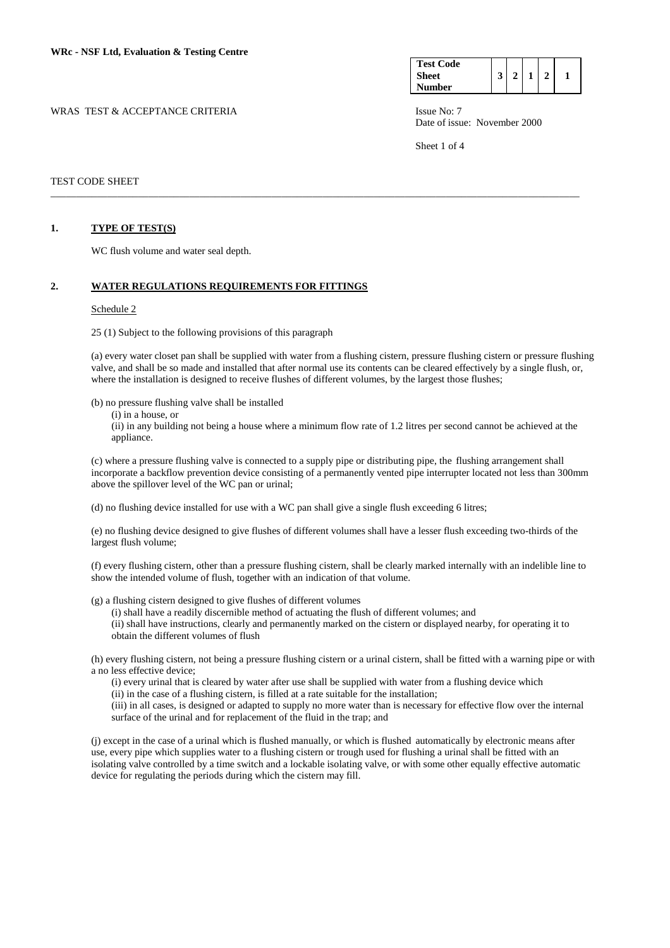WRAS TEST & ACCEPTANCE CRITERIA ISSUE No: 7

| <b>Test Code</b><br>Sheet |  |  |  |
|---------------------------|--|--|--|
| Number                    |  |  |  |

Date of issue: November 2000

Sheet 1 of 4

# TEST CODE SHEET

### **1. TYPE OF TEST(S)**

WC flush volume and water seal depth.

### **2. WATER REGULATIONS REQUIREMENTS FOR FITTINGS**

#### Schedule 2

25 (1) Subject to the following provisions of this paragraph

(a) every water closet pan shall be supplied with water from a flushing cistern, pressure flushing cistern or pressure flushing valve, and shall be so made and installed that after normal use its contents can be cleared effectively by a single flush, or, where the installation is designed to receive flushes of different volumes, by the largest those flushes;

\_\_\_\_\_\_\_\_\_\_\_\_\_\_\_\_\_\_\_\_\_\_\_\_\_\_\_\_\_\_\_\_\_\_\_\_\_\_\_\_\_\_\_\_\_\_\_\_\_\_\_\_\_\_\_\_\_\_\_\_\_\_\_\_\_\_\_\_\_\_\_\_\_\_\_\_\_\_\_\_\_\_\_\_\_\_\_\_\_\_\_\_\_\_\_\_\_\_\_\_\_\_\_

(b) no pressure flushing valve shall be installed

(i) in a house, or

 (ii) in any building not being a house where a minimum flow rate of 1.2 litres per second cannot be achieved at the appliance.

 (c) where a pressure flushing valve is connected to a supply pipe or distributing pipe, the flushing arrangement shall incorporate a backflow prevention device consisting of a permanently vented pipe interrupter located not less than 300mm above the spillover level of the WC pan or urinal;

(d) no flushing device installed for use with a WC pan shall give a single flush exceeding 6 litres;

(e) no flushing device designed to give flushes of different volumes shall have a lesser flush exceeding two-thirds of the largest flush volume;

(f) every flushing cistern, other than a pressure flushing cistern, shall be clearly marked internally with an indelible line to show the intended volume of flush, together with an indication of that volume.

(g) a flushing cistern designed to give flushes of different volumes

 (i) shall have a readily discernible method of actuating the flush of different volumes; and (ii) shall have instructions, clearly and permanently marked on the cistern or displayed nearby, for operating it to obtain the different volumes of flush

(h) every flushing cistern, not being a pressure flushing cistern or a urinal cistern, shall be fitted with a warning pipe or with a no less effective device;

(i) every urinal that is cleared by water after use shall be supplied with water from a flushing device which

(ii) in the case of a flushing cistern, is filled at a rate suitable for the installation;

(iii) in all cases, is designed or adapted to supply no more water than is necessary for effective flow over the internal surface of the urinal and for replacement of the fluid in the trap; and

(j) except in the case of a urinal which is flushed manually, or which is flushed automatically by electronic means after use, every pipe which supplies water to a flushing cistern or trough used for flushing a urinal shall be fitted with an isolating valve controlled by a time switch and a lockable isolating valve, or with some other equally effective automatic device for regulating the periods during which the cistern may fill.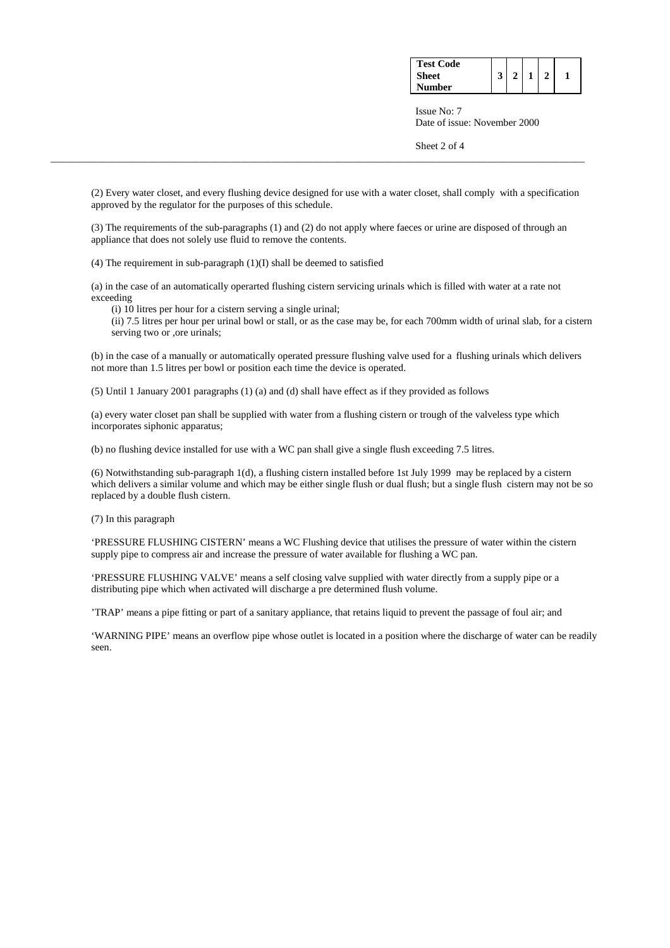| <b>Test Code</b> |  |  |  |
|------------------|--|--|--|
| <b>Sheet</b>     |  |  |  |
| <b>Number</b>    |  |  |  |

 Issue No: 7 Date of issue: November 2000

Sheet 2 of 4

(2) Every water closet, and every flushing device designed for use with a water closet, shall comply with a specification approved by the regulator for the purposes of this schedule.

\_\_\_\_\_\_\_\_\_\_\_\_\_\_\_\_\_\_\_\_\_\_\_\_\_\_\_\_\_\_\_\_\_\_\_\_\_\_\_\_\_\_\_\_\_\_\_\_\_\_\_\_\_\_\_\_\_\_\_\_\_\_\_\_\_\_\_\_\_\_\_\_\_\_\_\_\_\_\_\_\_\_\_\_\_\_\_\_\_\_\_\_\_\_\_\_\_\_\_\_\_\_\_\_

(3) The requirements of the sub-paragraphs (1) and (2) do not apply where faeces or urine are disposed of through an appliance that does not solely use fluid to remove the contents.

(4) The requirement in sub-paragraph (1)(I) shall be deemed to satisfied

(a) in the case of an automatically operarted flushing cistern servicing urinals which is filled with water at a rate not exceeding

(i) 10 litres per hour for a cistern serving a single urinal;

 (ii) 7.5 litres per hour per urinal bowl or stall, or as the case may be, for each 700mm width of urinal slab, for a cistern serving two or ,ore urinals;

(b) in the case of a manually or automatically operated pressure flushing valve used for a flushing urinals which delivers not more than 1.5 litres per bowl or position each time the device is operated.

(5) Until 1 January 2001 paragraphs (1) (a) and (d) shall have effect as if they provided as follows

(a) every water closet pan shall be supplied with water from a flushing cistern or trough of the valveless type which incorporates siphonic apparatus;

(b) no flushing device installed for use with a WC pan shall give a single flush exceeding 7.5 litres.

(6) Notwithstanding sub-paragraph 1(d), a flushing cistern installed before 1st July 1999 may be replaced by a cistern which delivers a similar volume and which may be either single flush or dual flush; but a single flush cistern may not be so replaced by a double flush cistern.

(7) In this paragraph

'PRESSURE FLUSHING CISTERN' means a WC Flushing device that utilises the pressure of water within the cistern supply pipe to compress air and increase the pressure of water available for flushing a WC pan.

'PRESSURE FLUSHING VALVE' means a self closing valve supplied with water directly from a supply pipe or a distributing pipe which when activated will discharge a pre determined flush volume.

'TRAP' means a pipe fitting or part of a sanitary appliance, that retains liquid to prevent the passage of foul air; and

'WARNING PIPE' means an overflow pipe whose outlet is located in a position where the discharge of water can be readily seen.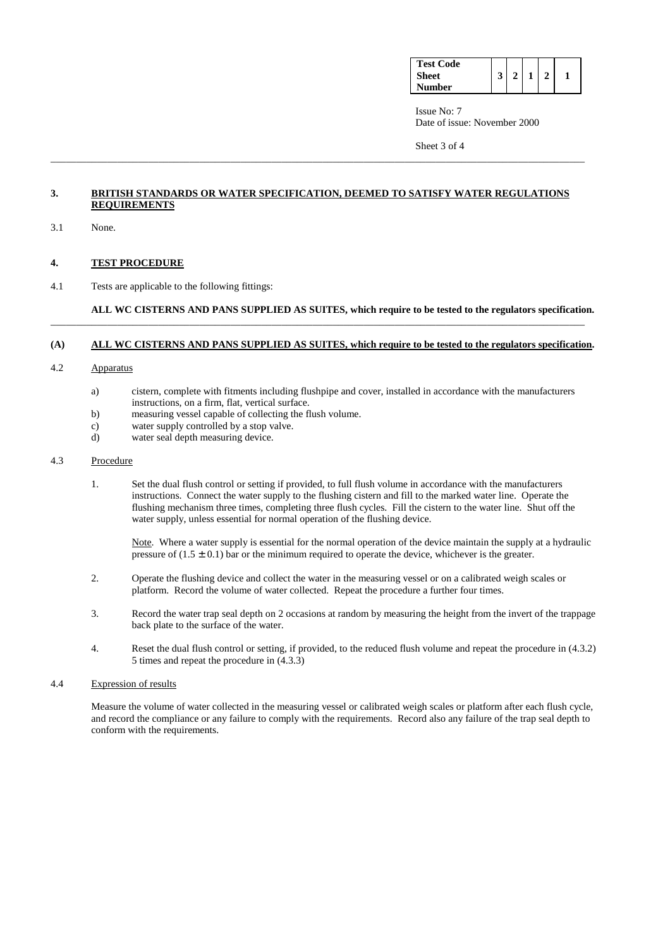| <b>Test Code</b> |  |  |  |
|------------------|--|--|--|
| <b>Sheet</b>     |  |  |  |
| Number           |  |  |  |

 Issue No: 7 Date of issue: November 2000

Sheet 3 of 4

# **3. BRITISH STANDARDS OR WATER SPECIFICATION, DEEMED TO SATISFY WATER REGULATIONS REQUIREMENTS**

\_\_\_\_\_\_\_\_\_\_\_\_\_\_\_\_\_\_\_\_\_\_\_\_\_\_\_\_\_\_\_\_\_\_\_\_\_\_\_\_\_\_\_\_\_\_\_\_\_\_\_\_\_\_\_\_\_\_\_\_\_\_\_\_\_\_\_\_\_\_\_\_\_\_\_\_\_\_\_\_\_\_\_\_\_\_\_\_\_\_\_\_\_\_\_\_\_\_\_\_\_\_\_\_

3.1 None.

# **4. TEST PROCEDURE**

4.1 Tests are applicable to the following fittings:

### **ALL WC CISTERNS AND PANS SUPPLIED AS SUITES, which require to be tested to the regulators specification.**  \_\_\_\_\_\_\_\_\_\_\_\_\_\_\_\_\_\_\_\_\_\_\_\_\_\_\_\_\_\_\_\_\_\_\_\_\_\_\_\_\_\_\_\_\_\_\_\_\_\_\_\_\_\_\_\_\_\_\_\_\_\_\_\_\_\_\_\_\_\_\_\_\_\_\_\_\_\_\_\_\_\_\_\_\_\_\_\_\_\_\_\_\_\_\_\_\_\_\_\_\_\_\_\_

### **(A) ALL WC CISTERNS AND PANS SUPPLIED AS SUITES, which require to be tested to the regulators specification.**

- 4.2 Apparatus
	- a) cistern, complete with fitments including flushpipe and cover, installed in accordance with the manufacturers instructions, on a firm, flat, vertical surface.
	- b) measuring vessel capable of collecting the flush volume.
	- c) water supply controlled by a stop valve.
	- d) water seal depth measuring device.

# 4.3 Procedure

1. Set the dual flush control or setting if provided, to full flush volume in accordance with the manufacturers instructions. Connect the water supply to the flushing cistern and fill to the marked water line. Operate the flushing mechanism three times, completing three flush cycles. Fill the cistern to the water line. Shut off the water supply, unless essential for normal operation of the flushing device.

Note. Where a water supply is essential for the normal operation of the device maintain the supply at a hydraulic pressure of  $(1.5 \pm 0.1)$  bar or the minimum required to operate the device, whichever is the greater.

- 2. Operate the flushing device and collect the water in the measuring vessel or on a calibrated weigh scales or platform. Record the volume of water collected. Repeat the procedure a further four times.
- 3. Record the water trap seal depth on 2 occasions at random by measuring the height from the invert of the trappage back plate to the surface of the water.
- 4. Reset the dual flush control or setting, if provided, to the reduced flush volume and repeat the procedure in (4.3.2) 5 times and repeat the procedure in (4.3.3)

# 4.4 Expression of results

Measure the volume of water collected in the measuring vessel or calibrated weigh scales or platform after each flush cycle, and record the compliance or any failure to comply with the requirements. Record also any failure of the trap seal depth to conform with the requirements.